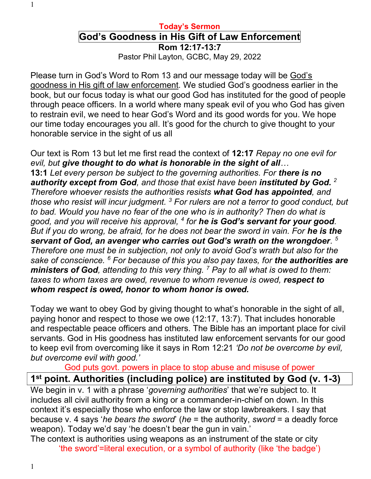#### Today's Sermon

# God's Goodness in His Gift of Law Enforcement

Rom 12:17-13:7 Pastor Phil Layton, GCBC, May 29, 2022

Please turn in God's Word to Rom 13 and our message today will be God's goodness in His gift of law enforcement. We studied God's goodness earlier in the book, but our focus today is what our good God has instituted for the good of people through peace officers. In a world where many speak evil of you who God has given to restrain evil, we need to hear God's Word and its good words for you. We hope our time today encourages you all. It's good for the church to give thought to your honorable service in the sight of us all

Our text is Rom 13 but let me first read the context of 12:17 Repay no one evil for evil, but give thought to do what is honorable in the sight of all… 13:1 Let every person be subject to the governing authorities. For there is no authority except from God, and those that exist have been instituted by God.  $2$ Therefore whoever resists the authorities resists what God has appointed, and those who resist will incur judgment. <sup>3</sup> For rulers are not a terror to good conduct, but to bad. Would you have no fear of the one who is in authority? Then do what is good, and you will receive his approval, <sup>4</sup> for **he is God's servant for your good**. But if you do wrong, be afraid, for he does not bear the sword in vain. For he is the servant of God, an avenger who carries out God's wrath on the wrongdoer.  $^5$ Therefore one must be in subjection, not only to avoid God's wrath but also for the sake of conscience. <sup>6</sup> For because of this you also pay taxes, for the authorities are ministers of God, attending to this very thing.  $^7$  Pay to all what is owed to them: taxes to whom taxes are owed, revenue to whom revenue is owed, respect to whom respect is owed, honor to whom honor is owed.

Today we want to obey God by giving thought to what's honorable in the sight of all, paying honor and respect to those we owe (12:17, 13:7). That includes honorable and respectable peace officers and others. The Bible has an important place for civil servants. God in His goodness has instituted law enforcement servants for our good to keep evil from overcoming like it says in Rom 12:21 'Do not be overcome by evil, but overcome evil with good.'

God puts govt. powers in place to stop abuse and misuse of power

### 1 st point. Authorities (including police) are instituted by God (v. 1-3)

We begin in v. 1 with a phrase 'governing authorities' that we're subject to. It includes all civil authority from a king or a commander-in-chief on down. In this context it's especially those who enforce the law or stop lawbreakers. I say that because v. 4 says 'he bears the sword' (he = the authority, sword = a deadly force weapon). Today we'd say 'he doesn't bear the gun in vain.'

The context is authorities using weapons as an instrument of the state or city 'the sword'=literal execution, or a symbol of authority (like 'the badge')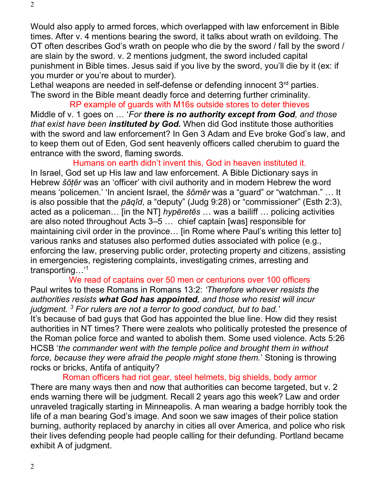Would also apply to armed forces, which overlapped with law enforcement in Bible times. After v. 4 mentions bearing the sword, it talks about wrath on evildoing. The OT often describes God's wrath on people who die by the sword / fall by the sword / are slain by the sword. v. 2 mentions judgment, the sword included capital punishment in Bible times. Jesus said if you live by the sword, you'll die by it (ex: if you murder or you're about to murder).

Lethal weapons are needed in self-defense or defending innocent 3<sup>rd</sup> parties. The sword in the Bible meant deadly force and deterring further criminality.

RP example of guards with M16s outside stores to deter thieves Middle of v. 1 goes on ... 'For there is no authority except from God, and those that exist have been *instituted by God.* When did God institute those authorities with the sword and law enforcement? In Gen 3 Adam and Eve broke God's law, and to keep them out of Eden, God sent heavenly officers called cherubim to guard the entrance with the sword, flaming swords.

Humans on earth didn't invent this, God in heaven instituted it.

In Israel, God set up His law and law enforcement. A Bible Dictionary says in Hebrew šōṭēr was an 'officer' with civil authority and in modern Hebrew the word means 'policemen.' 'In ancient Israel, the šômēr was a "guard" or "watchman." … It is also possible that the pāqîd, a "deputy" (Judg 9:28) or "commissioner" (Esth 2:3), acted as a policeman... [in the NT] hyperetes ... was a bailiff ... policing activities are also noted throughout Acts 3–5 … chief captain [was] responsible for maintaining civil order in the province… [in Rome where Paul's writing this letter to] various ranks and statuses also performed duties associated with police (e.g., enforcing the law, preserving public order, protecting property and citizens, assisting in emergencies, registering complaints, investigating crimes, arresting and transporting…'<sup>1</sup>

We read of captains over 50 men or centurions over 100 officers Paul writes to these Romans in Romans 13:2: 'Therefore whoever resists the authorities resists what God has appointed, and those who resist will incur judgment. <sup>3</sup> For rulers are not a terror to good conduct, but to bad.' It's because of bad guys that God has appointed the blue line. How did they resist authorities in NT times? There were zealots who politically protested the presence of the Roman police force and wanted to abolish them. Some used violence. Acts 5:26 HCSB 'the commander went with the temple police and brought them in without force, because they were afraid the people might stone them.' Stoning is throwing rocks or bricks, Antifa of antiquity?

Roman officers had riot gear, steel helmets, big shields, body armor There are many ways then and now that authorities can become targeted, but v. 2 ends warning there will be judgment. Recall 2 years ago this week? Law and order unraveled tragically starting in Minneapolis. A man wearing a badge horribly took the life of a man bearing God's image. And soon we saw images of their police station burning, authority replaced by anarchy in cities all over America, and police who risk their lives defending people had people calling for their defunding. Portland became exhibit A of judgment.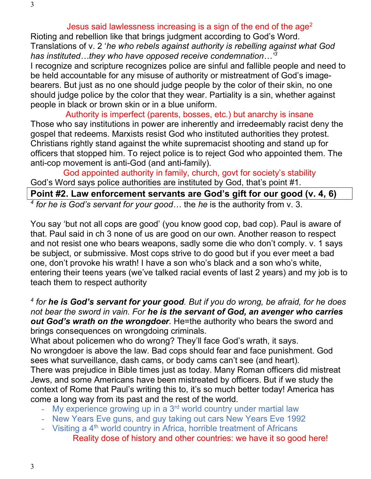Rioting and rebellion like that brings judgment according to God's Word. Translations of v. 2 'he who rebels against authority is rebelling against what God has instituted...they who have opposed receive condemnation...<sup>3</sup>

I recognize and scripture recognizes police are sinful and fallible people and need to be held accountable for any misuse of authority or mistreatment of God's imagebearers. But just as no one should judge people by the color of their skin, no one should judge police by the color that they wear. Partiality is a sin, whether against people in black or brown skin or in a blue uniform.

Authority is imperfect (parents, bosses, etc.) but anarchy is insane Those who say institutions in power are inherently and irredeemably racist deny the gospel that redeems. Marxists resist God who instituted authorities they protest. Christians rightly stand against the white supremacist shooting and stand up for officers that stopped him. To reject police is to reject God who appointed them. The anti-cop movement is anti-God (and anti-family).

God appointed authority in family, church, govt for society's stability God's Word says police authorities are instituted by God, that's point #1. Point #2. Law enforcement servants are God's gift for our good (v. 4, 6)  $4$  for he is God's servant for your good... the he is the authority from v. 3.

You say 'but not all cops are good' (you know good cop, bad cop). Paul is aware of that. Paul said in ch 3 none of us are good on our own. Another reason to respect and not resist one who bears weapons, sadly some die who don't comply. v. 1 says be subject, or submissive. Most cops strive to do good but if you ever meet a bad one, don't provoke his wrath! I have a son who's black and a son who's white, entering their teens years (we've talked racial events of last 2 years) and my job is to teach them to respect authority

<sup>4</sup> for he is God's servant for your good. But if you do wrong, be afraid, for he does not bear the sword in vain. For he is the servant of God, an avenger who carries out God's wrath on the wrongdoer. He=the authority who bears the sword and brings consequences on wrongdoing criminals.

What about policemen who do wrong? They'll face God's wrath, it says. No wrongdoer is above the law. Bad cops should fear and face punishment. God sees what surveillance, dash cams, or body cams can't see (and heart). There was prejudice in Bible times just as today. Many Roman officers did mistreat Jews, and some Americans have been mistreated by officers. But if we study the context of Rome that Paul's writing this to, it's so much better today! America has come a long way from its past and the rest of the world.

- My experience growing up in a  $3<sup>rd</sup>$  world country under martial law
- New Years Eve guns, and guy taking out cars New Years Eve 1992
- Visiting a  $4<sup>th</sup>$  world country in Africa, horrible treatment of Africans Reality dose of history and other countries: we have it so good here!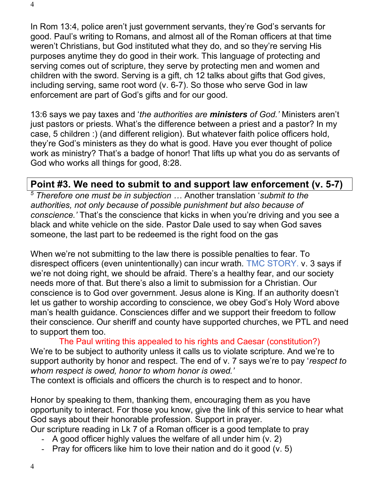In Rom 13:4, police aren't just government servants, they're God's servants for good. Paul's writing to Romans, and almost all of the Roman officers at that time weren't Christians, but God instituted what they do, and so they're serving His purposes anytime they do good in their work. This language of protecting and serving comes out of scripture, they serve by protecting men and women and children with the sword. Serving is a gift, ch 12 talks about gifts that God gives, including serving, same root word (v. 6-7). So those who serve God in law enforcement are part of God's gifts and for our good.

13:6 says we pay taxes and 'the authorities are ministers of God.' Ministers aren't just pastors or priests. What's the difference between a priest and a pastor? In my case, 5 children :) (and different religion). But whatever faith police officers hold, they're God's ministers as they do what is good. Have you ever thought of police work as ministry? That's a badge of honor! That lifts up what you do as servants of God who works all things for good, 8:28.

#### Point #3. We need to submit to and support law enforcement (v. 5-7)

 $5$  Therefore one must be in subjection  $\dots$  Another translation 'submit to the authorities, not only because of possible punishment but also because of conscience.' That's the conscience that kicks in when you're driving and you see a black and white vehicle on the side. Pastor Dale used to say when God saves someone, the last part to be redeemed is the right food on the gas

When we're not submitting to the law there is possible penalties to fear. To disrespect officers (even unintentionally) can incur wrath. TMC STORY. v. 3 says if we're not doing right, we should be afraid. There's a healthy fear, and our society needs more of that. But there's also a limit to submission for a Christian. Our conscience is to God over government. Jesus alone is King. If an authority doesn't let us gather to worship according to conscience, we obey God's Holy Word above man's health guidance. Consciences differ and we support their freedom to follow their conscience. Our sheriff and county have supported churches, we PTL and need to support them too.

The Paul writing this appealed to his rights and Caesar (constitution?) We're to be subject to authority unless it calls us to violate scripture. And we're to support authority by honor and respect. The end of v. 7 says we're to pay 'respect to whom respect is owed, honor to whom honor is owed.'

The context is officials and officers the church is to respect and to honor.

Honor by speaking to them, thanking them, encouraging them as you have opportunity to interact. For those you know, give the link of this service to hear what God says about their honorable profession. Support in prayer.

Our scripture reading in Lk 7 of a Roman officer is a good template to pray

- A good officer highly values the welfare of all under him (v. 2)
- Pray for officers like him to love their nation and do it good (v. 5)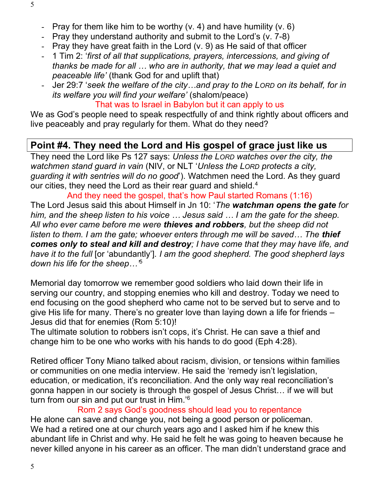- Pray for them like him to be worthy  $(v, 4)$  and have humility  $(v, 6)$
- Pray they understand authority and submit to the Lord's (v. 7-8)
- Pray they have great faith in the Lord (v. 9) as He said of that officer
- 1 Tim 2: 'first of all that supplications, prayers, intercessions, and giving of thanks be made for all … who are in authority, that we may lead a quiet and peaceable life' (thank God for and uplift that)
- Jer 29:7 'seek the welfare of the city…and pray to the LORD on its behalf, for in its welfare you will find your welfare' (shalom/peace)

That was to Israel in Babylon but it can apply to us

We as God's people need to speak respectfully of and think rightly about officers and live peaceably and pray regularly for them. What do they need?

## Point #4. They need the Lord and His gospel of grace just like us

They need the Lord like Ps 127 says: Unless the LORD watches over the city, the watchmen stand quard in vain (NIV, or NLT 'Unless the LORD protects a city, guarding it with sentries will do no good'). Watchmen need the Lord. As they guard our cities, they need the Lord as their rear guard and shield.<sup>4</sup>

And they need the gospel, that's how Paul started Romans (1:16) The Lord Jesus said this about Himself in Jn 10: 'The watchman opens the gate for him, and the sheep listen to his voice … Jesus said … I am the gate for the sheep. All who ever came before me were thieves and robbers, but the sheep did not listen to them. I am the gate; whoever enters through me will be saved... The **thief** comes only to steal and kill and destroy; I have come that they may have life, and have it to the full [or 'abundantly']. I am the good shepherd. The good shepherd lays down his life for the sheep…'<sup>5</sup>

Memorial day tomorrow we remember good soldiers who laid down their life in serving our country, and stopping enemies who kill and destroy. Today we need to end focusing on the good shepherd who came not to be served but to serve and to give His life for many. There's no greater love than laying down a life for friends – Jesus did that for enemies (Rom 5:10)!

The ultimate solution to robbers isn't cops, it's Christ. He can save a thief and change him to be one who works with his hands to do good (Eph 4:28).

Retired officer Tony Miano talked about racism, division, or tensions within families or communities on one media interview. He said the 'remedy isn't legislation, education, or medication, it's reconciliation. And the only way real reconciliation's gonna happen in our society is through the gospel of Jesus Christ… if we will but turn from our sin and put our trust in Him.' $^6$ 

Rom 2 says God's goodness should lead you to repentance He alone can save and change you, not being a good person or policeman. We had a retired one at our church years ago and I asked him if he knew this abundant life in Christ and why. He said he felt he was going to heaven because he never killed anyone in his career as an officer. The man didn't understand grace and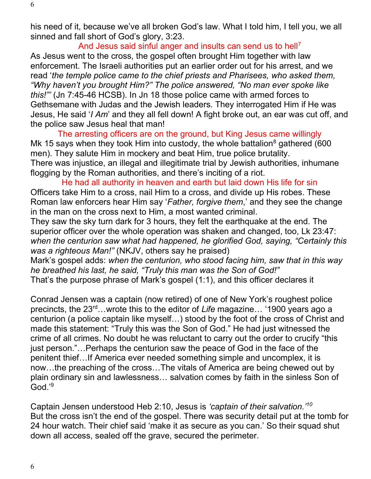his need of it, because we've all broken God's law. What I told him, I tell you, we all sinned and fall short of God's glory, 3:23.

And Jesus said sinful anger and insults can send us to hell<sup>7</sup> As Jesus went to the cross, the gospel often brought Him together with law enforcement. The Israeli authorities put an earlier order out for his arrest, and we read 'the temple police came to the chief priests and Pharisees, who asked them, "Why haven't you brought Him?" The police answered, "No man ever spoke like this!"' (Jn 7:45-46 HCSB). In Jn 18 those police came with armed forces to Gethsemane with Judas and the Jewish leaders. They interrogated Him if He was Jesus, He said 'I Am' and they all fell down! A fight broke out, an ear was cut off, and the police saw Jesus heal that man!

The arresting officers are on the ground, but King Jesus came willingly Mk 15 says when they took Him into custody, the whole battalion $^8$  gathered (600 men). They salute Him in mockery and beat Him, true police brutality. There was injustice, an illegal and illegitimate trial by Jewish authorities, inhumane flogging by the Roman authorities, and there's inciting of a riot.

He had all authority in heaven and earth but laid down His life for sin Officers take Him to a cross, nail Him to a cross, and divide up His robes. These Roman law enforcers hear Him say 'Father, forgive them,' and they see the change in the man on the cross next to Him, a most wanted criminal.

They saw the sky turn dark for 3 hours, they felt the earthquake at the end. The superior officer over the whole operation was shaken and changed, too, Lk 23:47: when the centurion saw what had happened, he glorified God, saying, "Certainly this was a righteous Man!" (NKJV, others say he praised)

Mark's gospel adds: when the centurion, who stood facing him, saw that in this way he breathed his last, he said, "Truly this man was the Son of God!" That's the purpose phrase of Mark's gospel (1:1), and this officer declares it

Conrad Jensen was a captain (now retired) of one of New York's roughest police precincts, the 23<sup>rd</sup>…wrote this to the editor of Life magazine… '1900 years ago a centurion (a police captain like myself…) stood by the foot of the cross of Christ and made this statement: "Truly this was the Son of God." He had just witnessed the crime of all crimes. No doubt he was reluctant to carry out the order to crucify "this just person."…Perhaps the centurion saw the peace of God in the face of the penitent thief…If America ever needed something simple and uncomplex, it is now…the preaching of the cross…The vitals of America are being chewed out by plain ordinary sin and lawlessness… salvation comes by faith in the sinless Son of God.'<sup>9</sup>

Captain Jensen understood Heb 2:10, Jesus is 'captain of their salvation.'<sup>10</sup> But the cross isn't the end of the gospel. There was security detail put at the tomb for 24 hour watch. Their chief said 'make it as secure as you can.' So their squad shut down all access, sealed off the grave, secured the perimeter.